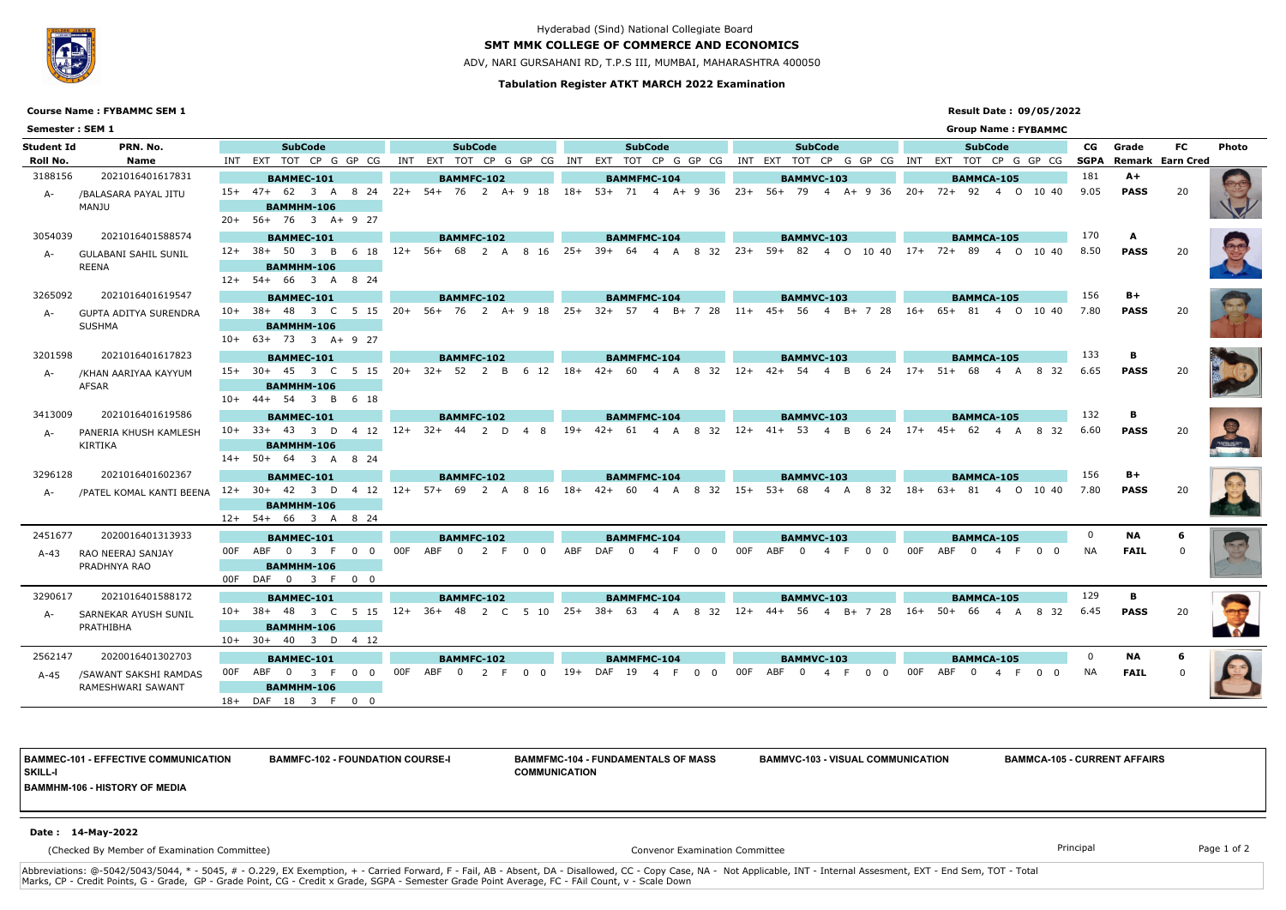### **Tabulation Register ATKT MARCH 2022 Examination**

## **SMT MMK COLLEGE OF COMMERCE AND ECONOMICS**

ADV, NARI GURSAHANI RD, T.P.S III, MUMBAI, MAHARASHTRA 400050

## **Result Date : 09/05/2022**



# Hyderabad (Sind) National Collegiate Board

|                 | <b>Course Name: FYBAMMC SEM 1</b> |                                   |       | <b>Result Date: 09/05/2022</b>         |                                                                                                      |                                                                                                 |                                           |              |                          |                         |       |  |  |  |  |  |
|-----------------|-----------------------------------|-----------------------------------|-------|----------------------------------------|------------------------------------------------------------------------------------------------------|-------------------------------------------------------------------------------------------------|-------------------------------------------|--------------|--------------------------|-------------------------|-------|--|--|--|--|--|
| Semester: SEM 1 |                                   |                                   |       |                                        |                                                                                                      |                                                                                                 | <b>Group Name: FYBAMMC</b>                |              |                          |                         |       |  |  |  |  |  |
| Student Id      | PRN. No.                          | <b>SubCode</b>                    |       | <b>SubCode</b>                         | <b>SubCode</b>                                                                                       | <b>SubCode</b>                                                                                  | <b>SubCode</b>                            | CG           | Grade                    | <b>FC</b>               | Photo |  |  |  |  |  |
| Roll No.        | Name                              | INT EXT TOT CP G GP CG            | INT   | EXT TOT CP G GP CG INT                 |                                                                                                      | EXT TOT CP G GP CG INT EXT TOT CP G GP CG INT                                                   | EXT TOT CP G GP CG                        | SGPA         |                          | <b>Remark Earn Cred</b> |       |  |  |  |  |  |
| 3188156         | 2021016401617831                  | BAMMEC-101                        |       | BAMMFC-102                             | <b>BAMMFMC-104</b>                                                                                   | BAMMVC-103                                                                                      | <b>BAMMCA-105</b>                         | 181          | $A+$                     |                         |       |  |  |  |  |  |
| A-              | /BALASARA PAYAL JITU<br>MANJU     | $15+ 47+ 62$ 3 A 8 24             |       |                                        | 22+ 54+ 76 2 A+ 9 18 18+ 53+ 71 4 A+ 9 36 23+ 56+ 79 4 A+ 9 36 20+ 72+ 92 4 0 10 40                  |                                                                                                 |                                           | 9.05         | <b>PASS</b>              | 20                      |       |  |  |  |  |  |
|                 |                                   | <b>BAMMHM-106</b>                 |       |                                        |                                                                                                      |                                                                                                 |                                           |              |                          |                         |       |  |  |  |  |  |
|                 |                                   | 20+ 56+ 76 3 A+ 9 27              |       |                                        |                                                                                                      |                                                                                                 |                                           |              |                          |                         |       |  |  |  |  |  |
| 3054039         | 2021016401588574                  | <b>BAMMEC-101</b>                 |       | BAMMFC-102                             | <b>BAMMFMC-104</b>                                                                                   | BAMMVC-103                                                                                      | <b>BAMMCA-105</b>                         | 170          | A                        |                         |       |  |  |  |  |  |
| A-              | <b>GULABANI SAHIL SUNIL</b>       | 12+ 38+ 50 3 B 6 18               | $12+$ | 56+ 68 2 A 8 16                        | $25+$<br>39+ 64 4 A<br>8 32                                                                          |                                                                                                 | 23+ 59+ 82 4 0 10 40 17+ 72+ 89 4 0 10 40 | 8.50         | <b>PASS</b>              | 20                      |       |  |  |  |  |  |
|                 | REENA                             | BAMMHM-106                        |       |                                        |                                                                                                      |                                                                                                 |                                           |              |                          |                         |       |  |  |  |  |  |
|                 |                                   | 12+ 54+ 66 3 A 8 24               |       |                                        |                                                                                                      |                                                                                                 |                                           |              |                          |                         |       |  |  |  |  |  |
| 3265092         | 2021016401619547                  | <b>BAMMEC-101</b>                 |       | BAMMFC-102                             | <b>BAMMFMC-104</b>                                                                                   | BAMMVC-103                                                                                      | <b>BAMMCA-105</b>                         | 156          | $B+$                     |                         |       |  |  |  |  |  |
| A-              | GUPTA ADITYA SURENDRA<br>SUSHMA   | $10+38+48$ 3 C 5 15               |       |                                        | 20+ 56+ 76 2 A+ 9 18 25+ 32+ 57 4 B+ 7 28                                                            | 11+ 45+ 56 4                                                                                    | B+ 7 28 16+ 65+ 81 4 0 10 40              | 7.80         | <b>PASS</b>              | 20                      |       |  |  |  |  |  |
|                 |                                   | <b>BAMMHM-106</b>                 |       |                                        |                                                                                                      |                                                                                                 |                                           |              |                          |                         |       |  |  |  |  |  |
|                 |                                   | $10+ 63+ 73$ 3 A+ 9 27            |       |                                        |                                                                                                      |                                                                                                 |                                           |              |                          |                         |       |  |  |  |  |  |
| 3201598         | 2021016401617823                  | <b>BAMMEC-101</b>                 |       | <b>BAMMFC-102</b>                      | <b>BAMMFMC-104</b>                                                                                   | BAMMVC-103                                                                                      | <b>BAMMCA-105</b>                         | 133          | в                        |                         |       |  |  |  |  |  |
| A-              | /KHAN AARIYAA KAYYUM              | $15+30+453$ C<br>-5<br>- 15       | $20+$ | 32+ 52<br>6 12<br>2 B                  | 32<br>$18+$<br>$42+$<br>-60<br>-8<br>A<br>4                                                          | $42+$<br>24<br>$12+$<br>-54<br>B                                                                | $17+$<br>$51+$<br>68<br>832<br>4<br>A     | 6.65         | <b>PASS</b>              |                         |       |  |  |  |  |  |
|                 | AFSAR                             | <b>BAMMHM-106</b>                 |       |                                        |                                                                                                      |                                                                                                 |                                           |              |                          |                         |       |  |  |  |  |  |
|                 |                                   | 10+ 44+ 54 3 B 6 18               |       |                                        |                                                                                                      |                                                                                                 |                                           |              |                          |                         |       |  |  |  |  |  |
| 3413009         | 2021016401619586                  | <b>BAMMEC-101</b>                 |       | BAMMFC-102                             | <b>BAMMFMC-104</b>                                                                                   | BAMMVC-103                                                                                      | <b>BAMMCA-105</b>                         | 132          | В                        |                         |       |  |  |  |  |  |
| A-              | PANERIA KHUSH KAMLESH             | $10+$ 33+ 43 3 D 4 12 12+         |       | 32+ 44 2 D 4 8                         | -19+<br>42+ 61                                                                                       | 4 A 8 32 12+ 41+ 53<br>$\overline{B}$<br>6 24<br>$\overline{4}$                                 | 8 32<br>-62<br>$17+$<br>A<br>4            | 6.60         | <b>PASS</b>              | 20                      |       |  |  |  |  |  |
|                 | KIRTIKA                           | <b>BAMMHM-106</b>                 |       |                                        |                                                                                                      |                                                                                                 |                                           |              |                          |                         |       |  |  |  |  |  |
|                 |                                   | 14+ 50+ 64 3 A 8 24               |       |                                        |                                                                                                      |                                                                                                 |                                           |              |                          |                         |       |  |  |  |  |  |
| 3296128         | 2021016401602367                  | BAMMEC-101                        |       | BAMMFC-102                             | <b>BAMMFMC-104</b>                                                                                   | BAMMVC-103                                                                                      | <b>BAMMCA-105</b>                         | 156          | $B+$                     |                         |       |  |  |  |  |  |
| A-              | /PATEL KOMAL KANTI BEENA          |                                   |       |                                        | 12+ 30+ 42 3 D 4 12 12+ 57+ 69 2 A 8 16 18+ 42+ 60 4 A 8 32 15+ 53+ 68 4 A 8 32 18+ 63+ 81 4 O 10 40 |                                                                                                 |                                           | 7.80         | <b>PASS</b>              | -20                     |       |  |  |  |  |  |
|                 |                                   | BAMMHM-106                        |       |                                        |                                                                                                      |                                                                                                 |                                           |              |                          |                         |       |  |  |  |  |  |
|                 |                                   | 12+ 54+ 66 3 A 8 24               |       |                                        |                                                                                                      |                                                                                                 |                                           |              |                          |                         |       |  |  |  |  |  |
| 2451677         | 2020016401313933                  | <b>BAMMEC-101</b>                 |       | <b>BAMMFC-102</b>                      | <b>BAMMFMC-104</b>                                                                                   | BAMMVC-103                                                                                      | <b>BAMMCA-105</b>                         | $\mathbf{0}$ | NA.                      |                         |       |  |  |  |  |  |
| A-43            | RAO NEERAJ SANJAY                 | 00F ABF 0<br>3 F<br>$\Omega$<br>റ | 00F   | ABF<br><sup>2</sup><br>$\Omega$<br>- 0 | ABF<br>DAF<br>0                                                                                      |                                                                                                 | ABF<br>- 0<br>0 O                         | NA.          | <b>FAIL</b>              |                         |       |  |  |  |  |  |
|                 | PRADHNYA RAO                      | BAMMHM-106                        |       |                                        |                                                                                                      |                                                                                                 |                                           |              |                          |                         |       |  |  |  |  |  |
|                 |                                   | 00F DAF 0 3 F 0 0                 |       |                                        |                                                                                                      |                                                                                                 |                                           |              |                          |                         |       |  |  |  |  |  |
| 3290617         | 2021016401588172                  | <b>BAMMEC-101</b>                 |       | <b>BAMMFC-102</b>                      | <b>BAMMFMC-104</b>                                                                                   | BAMMVC-103                                                                                      | <b>BAMMCA-105</b>                         | 129          | в                        |                         |       |  |  |  |  |  |
| A-              | SARNEKAR AYUSH SUNIL              |                                   |       |                                        | 10+ 38+ 48 3 C 5 15 12+ 36+ 48 2 C 5 10 25+ 38+ 63 4 A 8 32 12+ 44+ 56 4 B+ 7 28                     |                                                                                                 | 16+ 50+ 66 4 A 8 32 6.45                  |              | PASS                     | 20                      |       |  |  |  |  |  |
|                 | PRATHIBHA                         | BAMMHM-106                        |       |                                        |                                                                                                      |                                                                                                 |                                           |              |                          |                         |       |  |  |  |  |  |
|                 |                                   | 10+ 30+ 40 3 D 4 12               |       |                                        |                                                                                                      |                                                                                                 |                                           |              |                          |                         |       |  |  |  |  |  |
| 2562147         | 2020016401302703                  | <b>BAMMEC-101</b>                 |       | BAMMFC-102                             | <b>BAMMFMC-104</b>                                                                                   | BAMMVC-103                                                                                      | BAMMCA-105                                | $\mathbf{0}$ | <b>NA</b><br><b>FAIL</b> | -6                      |       |  |  |  |  |  |
|                 | A-45 / SAWANT SAKSHI RAMDAS       | 00F ABF 0 3 F 0 0                 |       | 00F ABF 0 2 F 0 0                      | DAF 19 4 F 0 0<br>19+                                                                                | 00F<br>ABF<br>$\overline{\mathbf{0}}$<br>$\mathbf 0$<br>$\overline{4}$<br>- F<br>$\overline{0}$ | ABF 0<br>00F<br>4 F<br>$0\quad 0$         | NA           |                          |                         |       |  |  |  |  |  |
|                 | RAMESHWARI SAWANT                 | BAMMHM-106                        |       |                                        |                                                                                                      |                                                                                                 |                                           |              |                          |                         |       |  |  |  |  |  |
|                 |                                   | 18+ DAF 18 3 F 0 0                |       |                                        |                                                                                                      |                                                                                                 |                                           |              |                          |                         |       |  |  |  |  |  |

Abbreviations: @-5042/5043/5044, \* - 5045, # - O.229, EX Exemption, + - Carried Forward, F - Fail, AB - Absent, DA - Disallowed, CC - Copy Case, NA - Not Applicable, INT - Internal Assesment, EXT - End Sem, TOT - Total Marks, CP - Credit Points, G - Grade, GP - Grade Point, CG - Credit x Grade, SGPA - Semester Grade Point Average, FC - FAil Count, v - Scale Down

**BAMMEC-101 - EFFECTIVE COMMUNICATION SKILL-I**

**BAMMFC-102 - FOUNDATION COURSE-I BAMMFMC-104 - FUNDAMENTALS OF MASS COMMUNICATION**

**BAMMVC-103 - VISUAL COMMUNICATION BAMMCA-105 - CURRENT AFFAIRS**

**BAMMHM-106 - HISTORY OF MEDIA**

(Checked By Member of Examination Committee)

Convenor Examination Committee **Principal** Principal Principal Principal Principal Page 1 of 2

#### **Date : 14-May-2022**